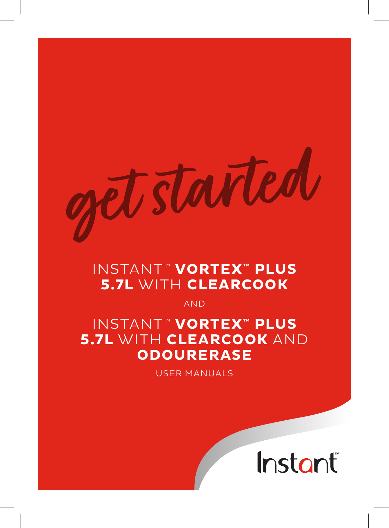# tarted

# INSTANT™ **VORTEX™ PLUS 5.7L** WITH **CLEARCOOK**

AND

# INSTANT™ **VORTEX™ PLUS 5.7L** WITH **CLEARCOOK** AND **ODOURERASE**

USER MANUALS

Instant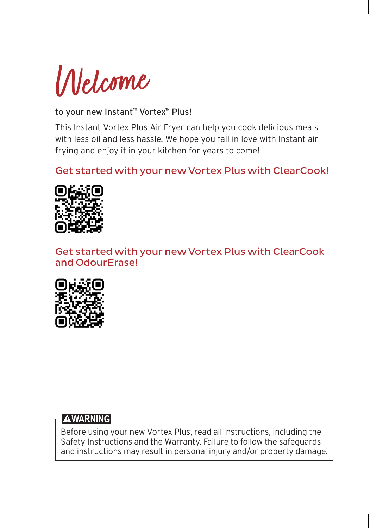

#### to your new Instant™ Vortex™ Plus!

This Instant Vortex Plus Air Fryer can help you cook delicious meals with less oil and less hassle. We hope you fall in love with Instant air frying and enjoy it in your kitchen for years to come!

#### Get started with your new Vortex Plus with ClearCook!



Get started with your new Vortex Plus with ClearCook and OdourErase!



#### **AWARNING**

Before using your new Vortex Plus, read all instructions, including the Safety Instructions and the Warranty. Failure to follow the safeguards and instructions may result in personal injury and/or property damage.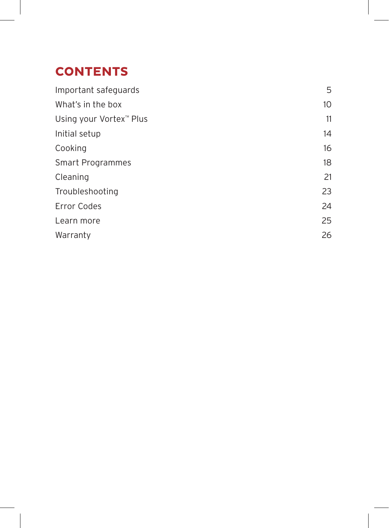# **. CONTENTS**

| Important safeguards    | 5  |
|-------------------------|----|
| What's in the box       | 10 |
| Using your Vortex™ Plus | 11 |
| Initial setup           | 14 |
| Cooking                 | 16 |
| Smart Programmes        | 18 |
| Cleaning                | 21 |
| Troubleshooting         | 23 |
| <b>Error Codes</b>      | 24 |
| Learn more              | 25 |
| Warranty                | 26 |
|                         |    |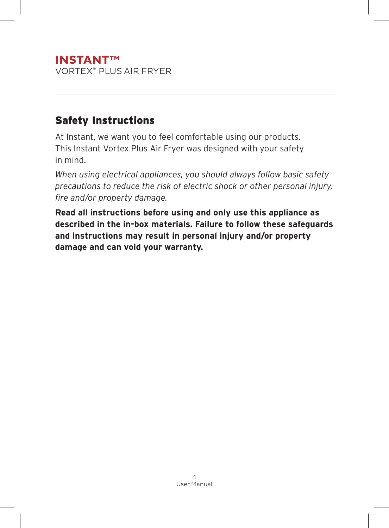#### **INSTANTTM** VORTEX™ PLUS AIR FRYER

#### Safety Instructions

At Instant, we want you to feel comfortable using our products. This Instant Vortex Plus Air Fryer was designed with your safety in mind.

*When using electrical appliances, you should always follow basic safety precautions to reduce the risk of electric shock or other personal injury, fire and/or property damage.*

**Read all instructions before using and only use this appliance as described in the in-box materials. Failure to follow these safeguards and instructions may result in personal injury and/or property damage and can void your warranty.**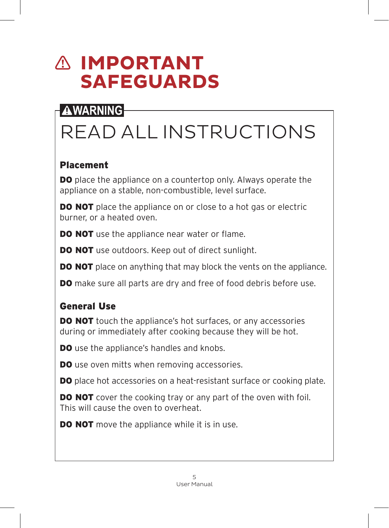# **IMPORTANT SAFEGUARDS**

# **AWARNING**

# READ ALL INSTRUCTIONS

#### Placement

**DO** place the appliance on a countertop only. Always operate the appliance on a stable, non-combustible, level surface.

**DO NOT** place the appliance on or close to a hot gas or electric burner, or a heated oven.

**DO NOT** use the appliance near water or flame.

**DO NOT** use outdoors. Keep out of direct sunlight.

**DO NOT** place on anything that may block the vents on the appliance.

**DO** make sure all parts are dry and free of food debris before use.

#### General Use

**DO NOT** touch the appliance's hot surfaces, or any accessories during or immediately after cooking because they will be hot.

**DO** use the appliance's handles and knobs.

**DO** use oven mitts when removing accessories.

DO place hot accessories on a heat-resistant surface or cooking plate.

**DO NOT** cover the cooking tray or any part of the oven with foil. This will cause the oven to overheat.

**DO NOT** move the appliance while it is in use.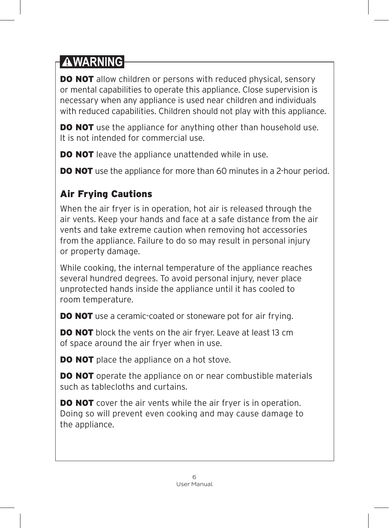**DO NOT** allow children or persons with reduced physical, sensory or mental capabilities to operate this appliance. Close supervision is necessary when any appliance is used near children and individuals with reduced capabilities. Children should not play with this appliance.

**DO NOT** use the appliance for anything other than household use. It is not intended for commercial use.

**DO NOT** leave the appliance unattended while in use.

**DO NOT** use the appliance for more than 60 minutes in a 2-hour period.

## Air Frying Cautions

When the air fryer is in operation, hot air is released through the air vents. Keep your hands and face at a safe distance from the air vents and take extreme caution when removing hot accessories from the appliance. Failure to do so may result in personal injury or property damage.

While cooking, the internal temperature of the appliance reaches several hundred degrees. To avoid personal injury, never place unprotected hands inside the appliance until it has cooled to room temperature.

**DO NOT** use a ceramic-coated or stoneware pot for air frying.

**DO NOT** block the vents on the air fryer. Leave at least 13 cm of space around the air fryer when in use.

**DO NOT** place the appliance on a hot stove.

**DO NOT** operate the appliance on or near combustible materials such as tablecloths and curtains.

**DO NOT** cover the air vents while the air fryer is in operation. Doing so will prevent even cooking and may cause damage to the appliance.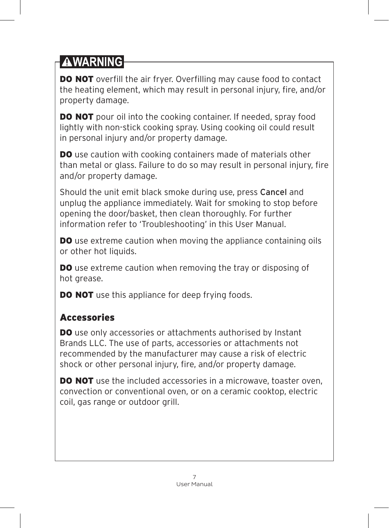**DO NOT** overfill the air fryer. Overfilling may cause food to contact the heating element, which may result in personal injury, fire, and/or property damage.

**DO NOT** pour oil into the cooking container. If needed, spray food lightly with non-stick cooking spray. Using cooking oil could result in personal injury and/or property damage.

DO use caution with cooking containers made of materials other than metal or glass. Failure to do so may result in personal injury, fire and/or property damage.

Should the unit emit black smoke during use, press Cancel and unplug the appliance immediately. Wait for smoking to stop before opening the door/basket, then clean thoroughly. For further information refer to 'Troubleshooting' in this User Manual.

**DO** use extreme caution when moving the appliance containing oils or other hot liquids.

DO use extreme caution when removing the tray or disposing of hot grease.

**DO NOT** use this appliance for deep frying foods.

#### Accessories

**DO** use only accessories or attachments authorised by Instant Brands LLC. The use of parts, accessories or attachments not recommended by the manufacturer may cause a risk of electric shock or other personal injury, fire, and/or property damage.

DO NOT use the included accessories in a microwave, toaster oven, convection or conventional oven, or on a ceramic cooktop, electric coil, gas range or outdoor grill.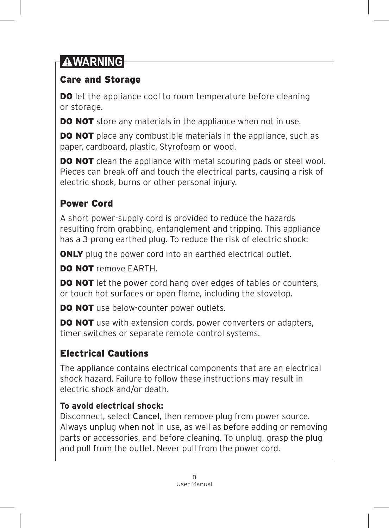#### Care and Storage

**DO** let the appliance cool to room temperature before cleaning or storage.

**DO NOT** store any materials in the appliance when not in use.

**DO NOT** place any combustible materials in the appliance, such as paper, cardboard, plastic, Styrofoam or wood.

**DO NOT** clean the appliance with metal scouring pads or steel wool. Pieces can break off and touch the electrical parts, causing a risk of electric shock, burns or other personal injury.

#### Power Cord

A short power-supply cord is provided to reduce the hazards resulting from grabbing, entanglement and tripping. This appliance has a 3-prong earthed plug. To reduce the risk of electric shock:

**ONLY** plug the power cord into an earthed electrical outlet.

DO NOT remove FARTH

**DO NOT** let the power cord hang over edges of tables or counters, or touch hot surfaces or open flame, including the stovetop.

DO NOT use below-counter power outlets.

**DO NOT** use with extension cords, power converters or adapters, timer switches or separate remote-control systems.

### Electrical Cautions

The appliance contains electrical components that are an electrical shock hazard. Failure to follow these instructions may result in electric shock and/or death.

#### **To avoid electrical shock:**

Disconnect, select Cancel, then remove plug from power source. Always unplug when not in use, as well as before adding or removing parts or accessories, and before cleaning. To unplug, grasp the plug and pull from the outlet. Never pull from the power cord.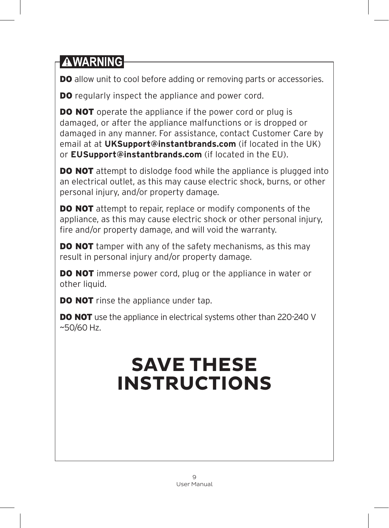DO allow unit to cool before adding or removing parts or accessories.

**DO** regularly inspect the appliance and power cord.

**DO NOT** operate the appliance if the power cord or plug is damaged, or after the appliance malfunctions or is dropped or damaged in any manner. For assistance, contact Customer Care by email at at **UKSupport@instantbrands.com** (if located in the UK) or **EUSupport@instantbrands.com** (if located in the EU).

**DO NOT** attempt to dislodge food while the appliance is plugged into an electrical outlet, as this may cause electric shock, burns, or other personal injury, and/or property damage.

**DO NOT** attempt to repair, replace or modify components of the appliance, as this may cause electric shock or other personal injury, fire and/or property damage, and will void the warranty.

**DO NOT** tamper with any of the safety mechanisms, as this may result in personal injury and/or property damage.

**DO NOT** immerse power cord, plug or the appliance in water or other liquid.

**DO NOT** rinse the appliance under tap.

**DO NOT** use the appliance in electrical systems other than 220-240 V  $~50/60$  Hz.

# **SAVE THESE INSTRUCTIONS**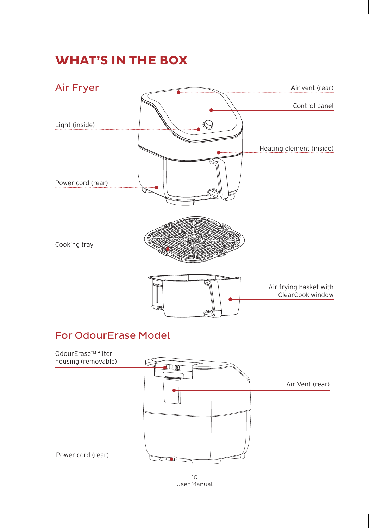## **WHAT'S IN THE BOX**



#### For OdourErase Model



10 User Manual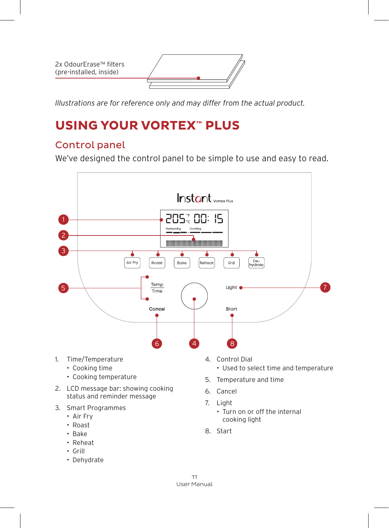2x OdourErase™ filters (pre-installed, inside)

*Illustrations are for reference only and may differ from the actual product.*

## **USING YOUR VORTEX™ PLUS**

#### Control panel

We've designed the control panel to be simple to use and easy to read.



- Grill
- Dehydrate

11 User Manual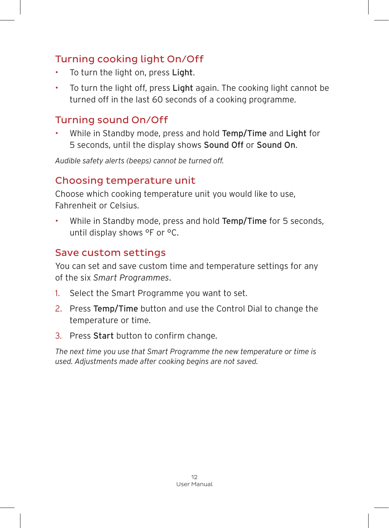#### Turning cooking light On/Off

- To turn the light on, press Light.
- To turn the light off, press Light again. The cooking light cannot be turned off in the last 60 seconds of a cooking programme.

#### Turning sound On/Off

While in Standby mode, press and hold Temp/Time and Light for 5 seconds, until the display shows Sound Off or Sound On.

*Audible safety alerts (beeps) cannot be turned off.*

#### Choosing temperature unit

Choose which cooking temperature unit you would like to use, Fahrenheit or Celsius.

While in Standby mode, press and hold Temp/Time for 5 seconds, until display shows °F or °C.

#### Save custom settings

You can set and save custom time and temperature settings for any of the six *Smart Programmes*.

- 1. Select the Smart Programme you want to set.
- 2. Press Temp/Time button and use the Control Dial to change the temperature or time.
- 3. Press Start button to confirm change.

*The next time you use that Smart Programme the new temperature or time is used. Adjustments made after cooking begins are not saved.*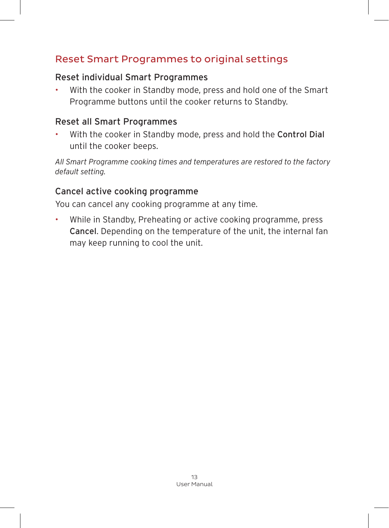#### Reset Smart Programmes to original settings

#### Reset individual Smart Programmes

• With the cooker in Standby mode, press and hold one of the Smart Programme buttons until the cooker returns to Standby.

#### Reset all Smart Programmes

• With the cooker in Standby mode, press and hold the Control Dial until the cooker beeps.

*All Smart Programme cooking times and temperatures are restored to the factory default setting.*

#### Cancel active cooking programme

You can cancel any cooking programme at any time.

• While in Standby, Preheating or active cooking programme, press Cancel. Depending on the temperature of the unit, the internal fan may keep running to cool the unit.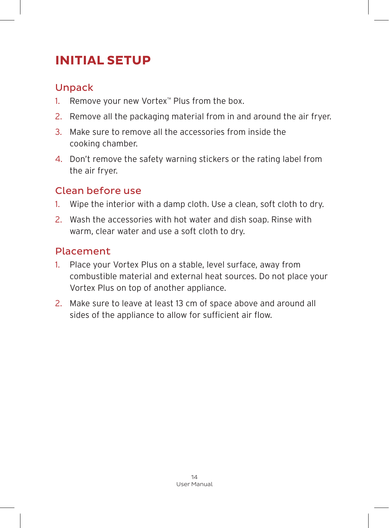# **INITIAL SETUP**

#### Unpack

- 1. Remove your new Vortex™ Plus from the box.
- 2. Remove all the packaging material from in and around the air fryer.
- 3. Make sure to remove all the accessories from inside the cooking chamber.
- 4. Don't remove the safety warning stickers or the rating label from the air fryer.

#### Clean before use

- 1. Wipe the interior with a damp cloth. Use a clean, soft cloth to dry.
- 2. Wash the accessories with hot water and dish soap. Rinse with warm, clear water and use a soft cloth to dry.

#### Placement

- 1. Place your Vortex Plus on a stable, level surface, away from combustible material and external heat sources. Do not place your Vortex Plus on top of another appliance.
- 2. Make sure to leave at least 13 cm of space above and around all sides of the appliance to allow for sufficient air flow.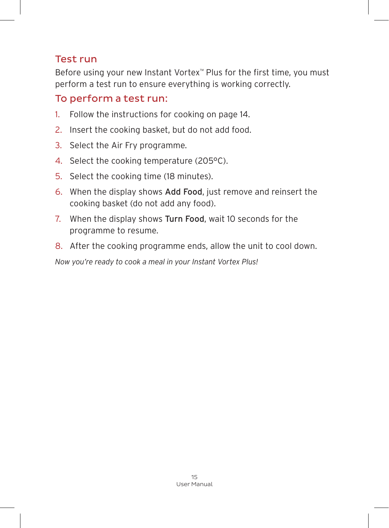#### Test run

Before using your new Instant Vortex™ Plus for the first time, you must perform a test run to ensure everything is working correctly.

#### To perform a test run:

- 1. Follow the instructions for cooking on page 14.
- 2. Insert the cooking basket, but do not add food.
- 3. Select the Air Fry programme.
- 4. Select the cooking temperature (205°C).
- 5. Select the cooking time (18 minutes).
- 6. When the display shows Add Food, just remove and reinsert the cooking basket (do not add any food).
- 7. When the display shows Turn Food, wait 10 seconds for the programme to resume.
- 8. After the cooking programme ends, allow the unit to cool down.

*Now you're ready to cook a meal in your Instant Vortex Plus!*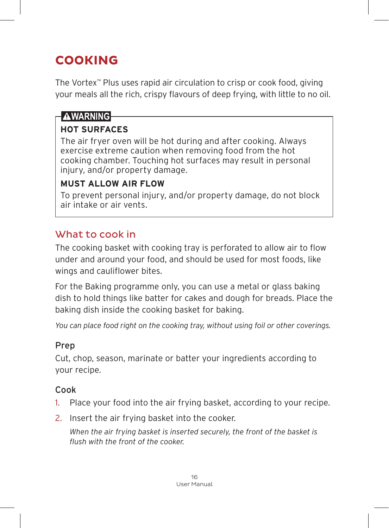# **COOKING**

The Vortex™ Plus uses rapid air circulation to crisp or cook food, giving your meals all the rich, crispy flavours of deep frying, with little to no oil.

#### **AWARNING**

#### **HOT SURFACES**

The air fryer oven will be hot during and after cooking. Always exercise extreme caution when removing food from the hot cooking chamber. Touching hot surfaces may result in personal injury, and/or property damage.

#### **MUST ALLOW AIR FLOW**

To prevent personal injury, and/or property damage, do not block air intake or air vents.

#### What to cook in

The cooking basket with cooking tray is perforated to allow air to flow under and around your food, and should be used for most foods, like wings and cauliflower bites.

For the Baking programme only, you can use a metal or glass baking dish to hold things like batter for cakes and dough for breads. Place the baking dish inside the cooking basket for baking.

*You can place food right on the cooking tray, without using foil or other coverings.*

#### Prep

Cut, chop, season, marinate or batter your ingredients according to your recipe.

#### Cook

- 1. Place your food into the air frying basket, according to your recipe.
- 2. Insert the air frying basket into the cooker.

*When the air frying basket is inserted securely, the front of the basket is flush with the front of the cooker.*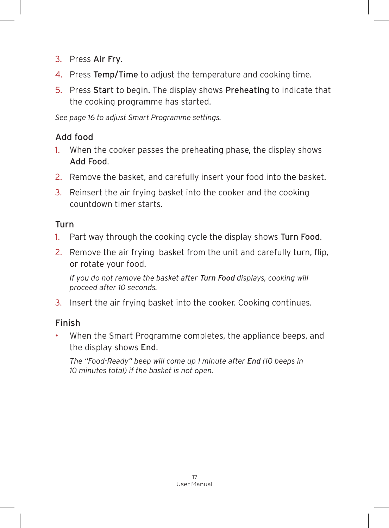- 3. Press Air Fry.
- 4. Press Temp/Time to adjust the temperature and cooking time.
- 5. Press Start to begin. The display shows Preheating to indicate that the cooking programme has started.

*See page 16 to adjust Smart Programme settings.*

#### Add food

- 1. When the cooker passes the preheating phase, the display shows Add Food.
- 2. Remove the basket, and carefully insert your food into the basket.
- 3. Reinsert the air frying basket into the cooker and the cooking countdown timer starts.

#### Turn

- 1. Part way through the cooking cycle the display shows Turn Food.
- 2. Remove the air frying basket from the unit and carefully turn, flip, or rotate your food.

*If you do not remove the basket after Turn Food displays, cooking will proceed after 10 seconds.*

3. Insert the air frying basket into the cooker. Cooking continues.

#### Finish

• When the Smart Programme completes, the appliance beeps, and the display shows End.

*The "Food-Ready" beep will come up 1 minute after End (10 beeps in 10 minutes total) if the basket is not open.*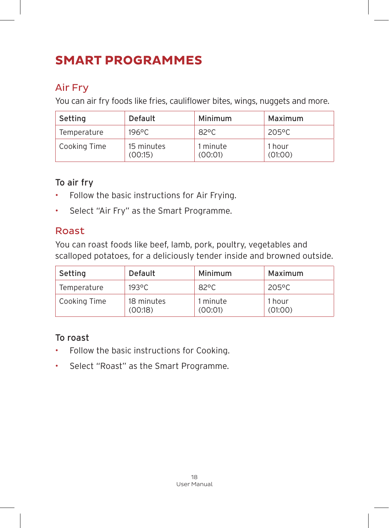# **SMART PROGRAMMES**

#### Air Fry

You can air fry foods like fries, cauliflower bites, wings, nuggets and more.

| Setting      | Default               | Minimum             | Maximum           |
|--------------|-----------------------|---------------------|-------------------|
| Temperature  | 196°C                 | $82^{\circ}$ C      | 205°C             |
| Cooking Time | 15 minutes<br>(00:15) | 1 minute<br>(00:01) | 1 hour<br>(01:00) |

#### To air fry

- Follow the basic instructions for Air Frying.
- Select "Air Fry" as the Smart Programme.

#### Roast

You can roast foods like beef, lamb, pork, poultry, vegetables and scalloped potatoes, for a deliciously tender inside and browned outside.

| Setting      | Default               | Minimum             | Maximum           |
|--------------|-----------------------|---------------------|-------------------|
| Temperature  | $193^{\circ}$ C       | $82^{\circ}$ C      | 205°C             |
| Cooking Time | 18 minutes<br>(00:18) | 1 minute<br>(00:01) | 1 hour<br>(01:00) |

#### To roast

- Follow the basic instructions for Cooking.
- Select "Roast" as the Smart Programme.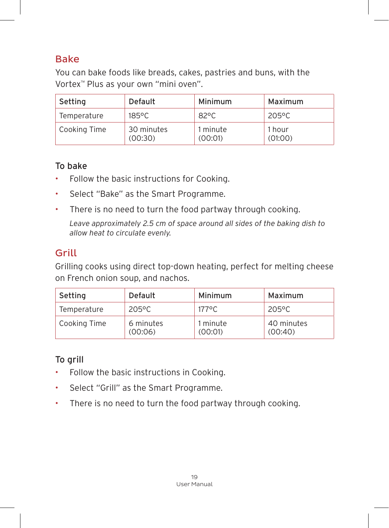#### Bake

You can bake foods like breads, cakes, pastries and buns, with the Vortex™ Plus as your own "mini oven".

| Setting      | Default               | Minimum             | Maximum           |
|--------------|-----------------------|---------------------|-------------------|
| Temperature  | 185°C                 | $82^{\circ}$ C      | 205°C             |
| Cooking Time | 30 minutes<br>(00:30) | 1 minute<br>(00:01) | 1 hour<br>(01:00) |

#### To bake

- Follow the basic instructions for Cooking.
- Select "Bake" as the Smart Programme.
- There is no need to turn the food partway through cooking.

*Leave approximately 2.5 cm of space around all sides of the baking dish to allow heat to circulate evenly.*

#### Grill

Grilling cooks using direct top-down heating, perfect for melting cheese on French onion soup, and nachos.

| Setting      | Default              | Minimum             | Maximum               |
|--------------|----------------------|---------------------|-----------------------|
| Temperature  | 205°C                | $177^{\circ}$ C     | 205°C                 |
| Cooking Time | 6 minutes<br>(00:06) | 1 minute<br>(00:01) | 40 minutes<br>(00:40) |

#### To grill

- Follow the basic instructions in Cooking.
- Select "Grill" as the Smart Programme.
- There is no need to turn the food partway through cooking.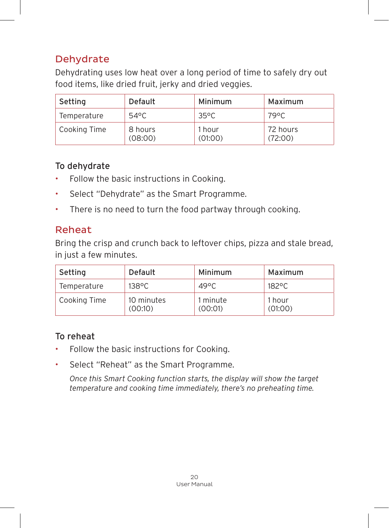#### **Dehydrate**

Dehydrating uses low heat over a long period of time to safely dry out food items, like dried fruit, jerky and dried veggies.

| Setting      | Default            | Minimum           | Maximum             |
|--------------|--------------------|-------------------|---------------------|
| Temperature  | 54°C               | $35^{\circ}$ C    | 79°C                |
| Cooking Time | 8 hours<br>(08:00) | 1 hour<br>(01:00) | 72 hours<br>(72:00) |

#### To dehydrate

- Follow the basic instructions in Cooking.
- Select "Dehydrate" as the Smart Programme.
- There is no need to turn the food partway through cooking.

#### Reheat

Bring the crisp and crunch back to leftover chips, pizza and stale bread, in just a few minutes.

| Setting      | Default               | Minimum             | Maximum           |
|--------------|-----------------------|---------------------|-------------------|
| Temperature  | $138^{\circ}$ C       | $49^{\circ}$ C      | $182^{\circ}$ C   |
| Cooking Time | 10 minutes<br>(00:10) | 1 minute<br>(00:01) | 1 hour<br>(01:00) |

#### To reheat

- Follow the basic instructions for Cooking.
- Select "Reheat" as the Smart Programme.

*Once this Smart Cooking function starts, the display will show the target temperature and cooking time immediately, there's no preheating time.*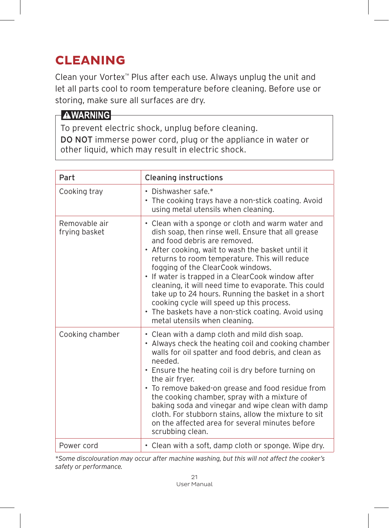# **CLEANING**

Clean your Vortex™ Plus after each use. Always unplug the unit and let all parts cool to room temperature before cleaning. Before use or storing, make sure all surfaces are dry.

#### **AWARNING**

To prevent electric shock, unplug before cleaning. DO NOT immerse power cord, plug or the appliance in water or other liquid, which may result in electric shock.

| Part                           | <b>Cleaning instructions</b>                                                                                                                                                                                                                                                                                                                                                                                                                                                                                                                                                               |
|--------------------------------|--------------------------------------------------------------------------------------------------------------------------------------------------------------------------------------------------------------------------------------------------------------------------------------------------------------------------------------------------------------------------------------------------------------------------------------------------------------------------------------------------------------------------------------------------------------------------------------------|
| Cooking tray                   | • Dishwasher safe.*<br>• The cooking trays have a non-stick coating. Avoid<br>using metal utensils when cleaning.                                                                                                                                                                                                                                                                                                                                                                                                                                                                          |
| Removable air<br>frying basket | • Clean with a sponge or cloth and warm water and<br>dish soap, then rinse well. Ensure that all grease<br>and food debris are removed.<br>• After cooking, wait to wash the basket until it<br>returns to room temperature. This will reduce<br>fogging of the ClearCook windows.<br>• If water is trapped in a ClearCook window after<br>cleaning, it will need time to evaporate. This could<br>take up to 24 hours. Running the basket in a short<br>cooking cycle will speed up this process.<br>• The baskets have a non-stick coating. Avoid using<br>metal utensils when cleaning. |
| Cooking chamber                | • Clean with a damp cloth and mild dish soap.<br>• Always check the heating coil and cooking chamber<br>walls for oil spatter and food debris, and clean as<br>needed.<br>• Ensure the heating coil is dry before turning on<br>the air fryer.<br>• To remove baked-on grease and food residue from<br>the cooking chamber, spray with a mixture of<br>baking soda and vinegar and wipe clean with damp<br>cloth. For stubborn stains, allow the mixture to sit<br>on the affected area for several minutes before<br>scrubbing clean.                                                     |
| Power cord                     | • Clean with a soft, damp cloth or sponge. Wipe dry.                                                                                                                                                                                                                                                                                                                                                                                                                                                                                                                                       |

*\*Some discolouration may occur after machine washing, but this will not affect the cooker's safety or performance.*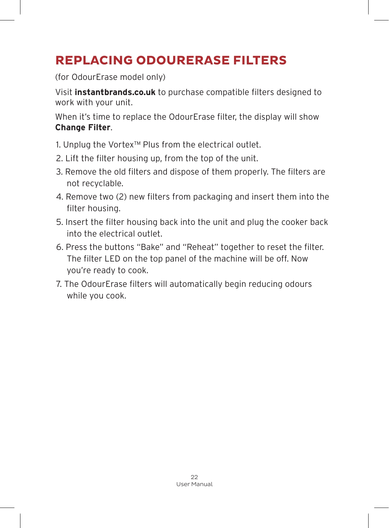# **REPLACING ODOURERASE FILTERS**

(for OdourErase model only)

Visit **instantbrands.co.uk** to purchase compatible filters designed to work with your unit.

When it's time to replace the OdourErase filter, the display will show **Change Filter**.

- 1. Unplug the Vortex™ Plus from the electrical outlet.
- 2. Lift the filter housing up, from the top of the unit.
- 3. Remove the old filters and dispose of them properly. The filters are not recyclable.
- 4. Remove two (2) new filters from packaging and insert them into the filter housing.
- 5. Insert the filter housing back into the unit and plug the cooker back into the electrical outlet.
- 6. Press the buttons "Bake" and "Reheat" together to reset the filter. The filter LED on the top panel of the machine will be off. Now you're ready to cook.
- 7. The OdourErase filters will automatically begin reducing odours while you cook.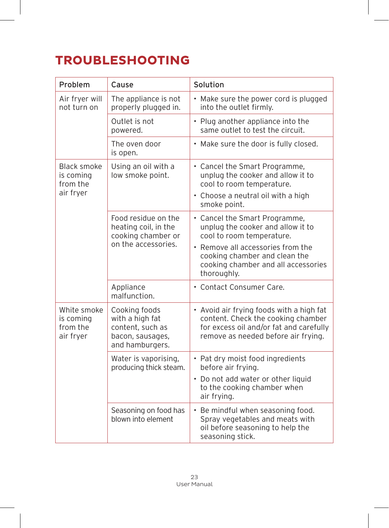# **TROUBLESHOOTING**

| Problem                                                  | Cause                                                                                       | Solution                                                                                                                                                         |
|----------------------------------------------------------|---------------------------------------------------------------------------------------------|------------------------------------------------------------------------------------------------------------------------------------------------------------------|
| Air fryer will<br>not turn on                            | The appliance is not<br>properly plugged in.                                                | • Make sure the power cord is plugged<br>into the outlet firmly.                                                                                                 |
|                                                          | Outlet is not<br>powered.                                                                   | • Plug another appliance into the<br>same outlet to test the circuit.                                                                                            |
|                                                          | The oven door<br>is open.                                                                   | • Make sure the door is fully closed.                                                                                                                            |
| <b>Black smoke</b><br>is coming<br>from the<br>air fryer | Using an oil with a<br>low smoke point.                                                     | • Cancel the Smart Programme,<br>unplug the cooker and allow it to<br>cool to room temperature.<br>• Choose a neutral oil with a high<br>smoke point.            |
|                                                          | Food residue on the<br>heating coil, in the<br>cooking chamber or<br>on the accessories.    | • Cancel the Smart Programme,<br>unplug the cooker and allow it to<br>cool to room temperature.<br>• Remove all accessories from the                             |
|                                                          |                                                                                             | cooking chamber and clean the<br>cooking chamber and all accessories<br>thoroughly.                                                                              |
|                                                          | Appliance<br>malfunction.                                                                   | • Contact Consumer Care.                                                                                                                                         |
| White smoke<br>is coming<br>from the<br>air fryer        | Cooking foods<br>with a high fat<br>content, such as<br>bacon, sausages,<br>and hamburgers. | • Avoid air frying foods with a high fat<br>content. Check the cooking chamber<br>for excess oil and/or fat and carefully<br>remove as needed before air frying. |
|                                                          | Water is vaporising,<br>producing thick steam.                                              | • Pat dry moist food ingredients<br>before air frying.<br>• Do not add water or other liquid                                                                     |
|                                                          |                                                                                             | to the cooking chamber when<br>air frying.                                                                                                                       |
|                                                          | Seasoning on food has<br>blown into element                                                 | • Be mindful when seasoning food.<br>Spray vegetables and meats with<br>oil before seasoning to help the<br>seasoning stick.                                     |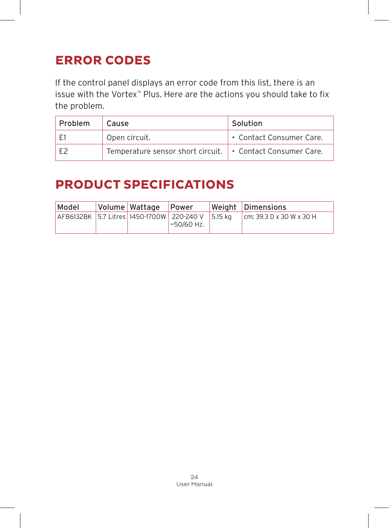# **ERROR CODES**

If the control panel displays an error code from this list, there is an issue with the Vortex™ Plus. Here are the actions you should take to fix the problem.

| Problem | Cause                                                      | Solution                 |
|---------|------------------------------------------------------------|--------------------------|
|         | Open circuit.                                              | • Contact Consumer Care. |
|         | Temperature sensor short circuit. • Contact Consumer Care. |                          |

## **PRODUCT SPECIFICATIONS**

| Model | Volume   Wattage | Power                                                                     | Weight Dimensions        |
|-------|------------------|---------------------------------------------------------------------------|--------------------------|
|       |                  | AFB6132BK   5.7 Litres   1450-1700W   220-240 V   5.15 kg<br>$~50/60$ Hz. | cm: 39.3 D x 30 W x 30 H |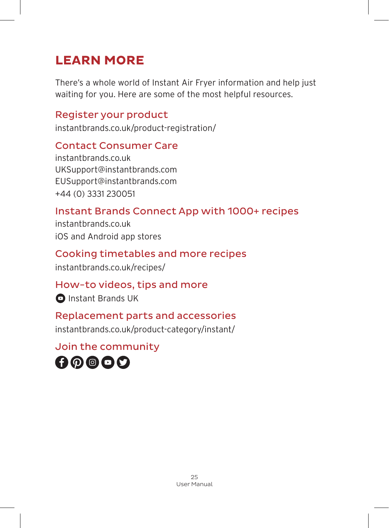# **LEARN MORE**

There's a whole world of Instant Air Fryer information and help just waiting for you. Here are some of the most helpful resources.

#### Register your product

instantbrands.co.uk/product-registration/

#### Contact Consumer Care

instantbrands.co.uk UKSupport@instantbrands.com EUSupport@instantbrands.com +44 (0) 3331 230051

#### Instant Brands Connect App with 1000+ recipes

instantbrands.co.uk iOS and Android app stores

#### Cooking timetables and more recipes

instantbrands.co.uk/recipes/

#### How-to videos, tips and more

**O** Instant Brands UK

#### Replacement parts and accessories

instantbrands.co.uk/product-category/instant/

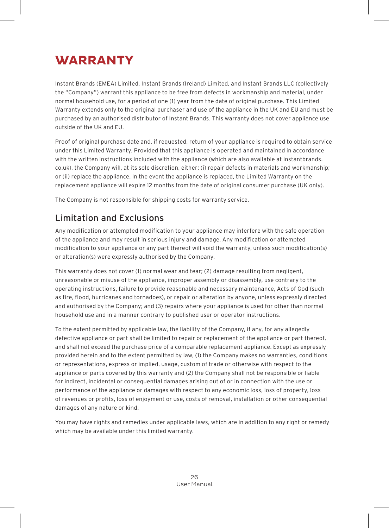# **WARRANTY**

Instant Brands (EMEA) Limited, Instant Brands (Ireland) Limited, and Instant Brands LLC (collectively the "Company") warrant this appliance to be free from defects in workmanship and material, under normal household use, for a period of one (1) year from the date of original purchase. This Limited Warranty extends only to the original purchaser and use of the appliance in the UK and EU and must be purchased by an authorised distributor of Instant Brands. This warranty does not cover appliance use outside of the UK and EU.

Proof of original purchase date and, if requested, return of your appliance is required to obtain service under this Limited Warranty. Provided that this appliance is operated and maintained in accordance with the written instructions included with the appliance (which are also available at instantbrands. co.uk), the Company will, at its sole discretion, either: (i) repair defects in materials and workmanship; or (ii) replace the appliance. In the event the appliance is replaced, the Limited Warranty on the replacement appliance will expire 12 months from the date of original consumer purchase (UK only).

The Company is not responsible for shipping costs for warranty service.

#### Limitation and Exclusions

Any modification or attempted modification to your appliance may interfere with the safe operation of the appliance and may result in serious injury and damage. Any modification or attempted modification to your appliance or any part thereof will void the warranty, unless such modification(s) or alteration(s) were expressly authorised by the Company.

This warranty does not cover (1) normal wear and tear; (2) damage resulting from negligent, unreasonable or misuse of the appliance, improper assembly or disassembly, use contrary to the operating instructions, failure to provide reasonable and necessary maintenance, Acts of God (such as fire, flood, hurricanes and tornadoes), or repair or alteration by anyone, unless expressly directed and authorised by the Company; and (3) repairs where your appliance is used for other than normal household use and in a manner contrary to published user or operator instructions.

To the extent permitted by applicable law, the liability of the Company, if any, for any allegedly defective appliance or part shall be limited to repair or replacement of the appliance or part thereof, and shall not exceed the purchase price of a comparable replacement appliance. Except as expressly provided herein and to the extent permitted by law, (1) the Company makes no warranties, conditions or representations, express or implied, usage, custom of trade or otherwise with respect to the appliance or parts covered by this warranty and (2) the Company shall not be responsible or liable for indirect, incidental or consequential damages arising out of or in connection with the use or performance of the appliance or damages with respect to any economic loss, loss of property, loss of revenues or profits, loss of enjoyment or use, costs of removal, installation or other consequential damages of any nature or kind.

You may have rights and remedies under applicable laws, which are in addition to any right or remedy which may be available under this limited warranty.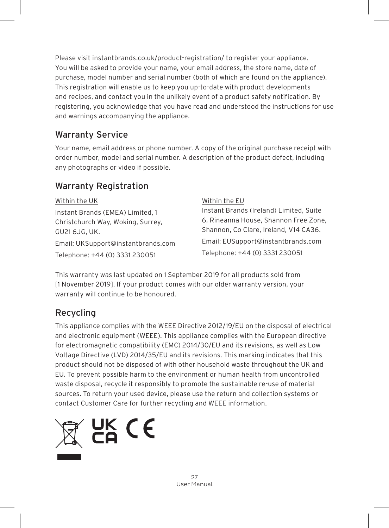Please visit instantbrands.co.uk/product-registration/ to register your appliance. You will be asked to provide your name, your email address, the store name, date of purchase, model number and serial number (both of which are found on the appliance). This registration will enable us to keep you up-to-date with product developments and recipes, and contact you in the unlikely event of a product safety notification. By registering, you acknowledge that you have read and understood the instructions for use and warnings accompanying the appliance.

#### Warranty Service

Your name, email address or phone number. A copy of the original purchase receipt with order number, model and serial number. A description of the product defect, including any photographs or video if possible.

#### Warranty Registration

| Within the UK                      | Within the EU                           |
|------------------------------------|-----------------------------------------|
| Instant Brands (EMEA) Limited, 1   | Instant Brands (Ireland) Limited, Suite |
| Christchurch Way, Woking, Surrey,  | 6, Rineanna House, Shannon Free Zone,   |
| GU21 6JG, UK.                      | Shannon, Co Clare, Ireland, V14 CA36.   |
| Email: UKSupport@instantbrands.com | Email: EUSupport@instantbrands.com      |
| Telephone: +44 (0) 3331 230051     | Telephone: +44 (0) 3331 230051          |

This warranty was last updated on 1 September 2019 for all products sold from [1 November 2019]. If your product comes with our older warranty version, your warranty will continue to be honoured.

#### Recycling

This appliance complies with the WEEE Directive 2012/19/EU on the disposal of electrical and electronic equipment (WEEE). This appliance complies with the European directive for electromagnetic compatibility (EMC) 2014/30/EU and its revisions, as well as Low Voltage Directive (LVD) 2014/35/EU and its revisions. This marking indicates that this product should not be disposed of with other household waste throughout the UK and EU. To prevent possible harm to the environment or human health from uncontrolled waste disposal, recycle it responsibly to promote the sustainable re-use of material sources. To return your used device, please use the return and collection systems or contact Customer Care for further recycling and WEEE information.